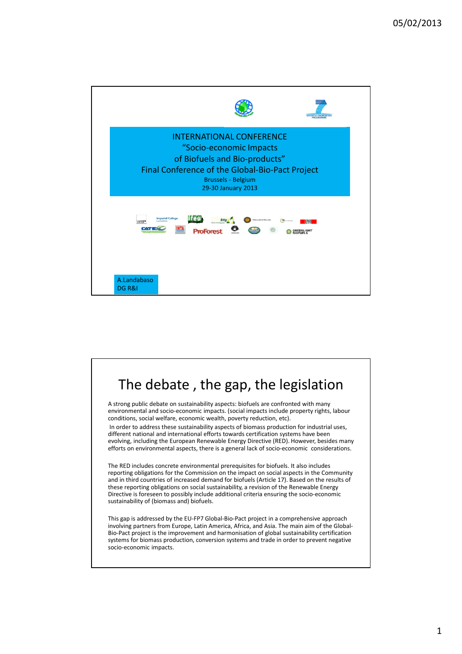

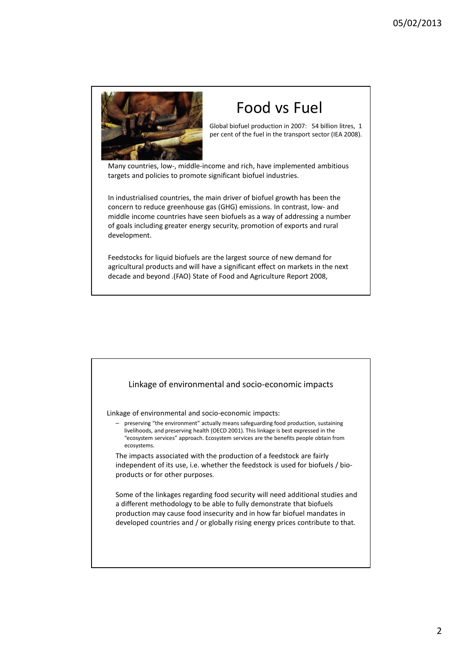

## Food vs Fuel

Global biofuel production in 2007: 54 billion litres, 1 per cent of the fuel in the transport sector (IEA 2008).

Many countries, low-, middle-income and rich, have implemented ambitious targets and policies to promote significant biofuel industries.

In industrialised countries, the main driver of biofuel growth has been the concern to reduce greenhouse gas (GHG) emissions. In contrast, low- and middle income countries have seen biofuels as a way of addressing a number of goals including greater energy security, promotion of exports and rural development.

Feedstocks for liquid biofuels are the largest source of new demand for agricultural products and will have a significant effect on markets in the next decade and beyond .(FAO) State of Food and Agriculture Report 2008,

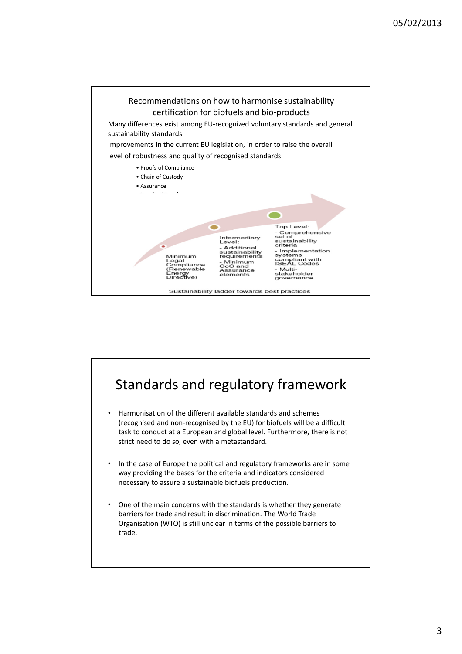

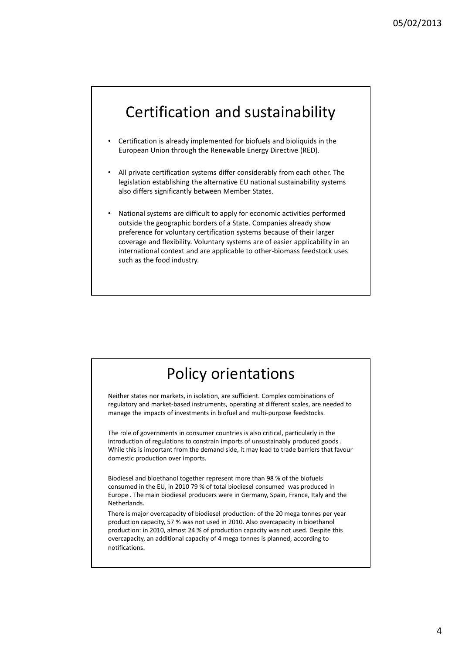## Certification and sustainability

- Certification is already implemented for biofuels and bioliquids in the European Union through the Renewable Energy Directive (RED).
- All private certification systems differ considerably from each other. The legislation establishing the alternative EU national sustainability systems also differs significantly between Member States.
- National systems are difficult to apply for economic activities performed outside the geographic borders of a State. Companies already show preference for voluntary certification systems because of their larger coverage and flexibility. Voluntary systems are of easier applicability in an international context and are applicable to other-biomass feedstock uses such as the food industry.

## Policy orientations

Neither states nor markets, in isolation, are sufficient. Complex combinations of regulatory and market-based instruments, operating at different scales, are needed to manage the impacts of investments in biofuel and multi-purpose feedstocks.

The role of governments in consumer countries is also critical, particularly in the introduction of regulations to constrain imports of unsustainably produced goods . While this is important from the demand side, it may lead to trade barriers that favour domestic production over imports.

Biodiesel and bioethanol together represent more than 98 % of the biofuels consumed in the EU, in 2010 79 % of total biodiesel consumed was produced in Europe . The main biodiesel producers were in Germany, Spain, France, Italy and the Netherlands.

There is major overcapacity of biodiesel production: of the 20 mega tonnes per year production capacity, 57 % was not used in 2010. Also overcapacity in bioethanol production: in 2010, almost 24 % of production capacity was not used. Despite this overcapacity, an additional capacity of 4 mega tonnes is planned, according to notifications.